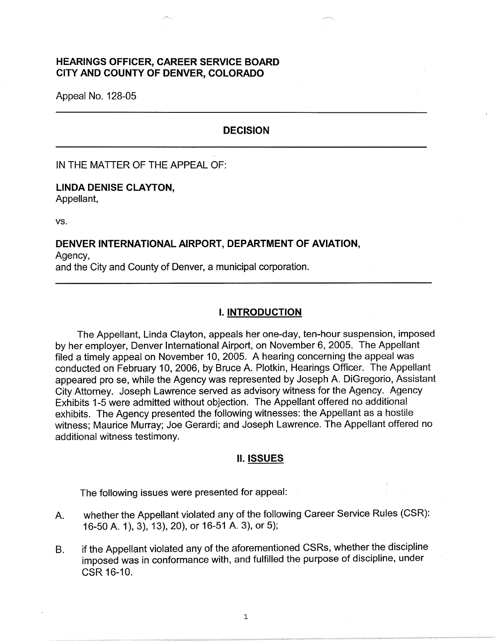# **HEARINGS OFFICER, CAREER SERVICE BOARD CITY AND COUNTY OF DENVER, COLORADO**

Appeal No. 128-05

### **DECISION**

IN THE MATTER OF THE APPEAL OF:

# **LINDA DENISE CLAYTON,**

Appellant,

vs.

### **DENVER INTERNATIONAL AIRPORT, DEPARTMENT OF AVIATION,**

Agency, and the City and County of Denver, a municipal corporation.

### I. **INTRODUCTION**

The Appellant, Linda Clayton, appeals her one-day, ten-hour suspension, imposed by her employer, Denver International Airport, on November 6, 2005. The Appellant filed a timely appeal on November 10, 2005. A hearing concerning the appeal was conducted on February 10, 2006, by Bruce A. Plotkin, Hearings Officer. The Appellant appeared pro se, while the Agency was represented by Joseph A. DiGregorio, Assistant City Attorney. Joseph Lawrence served as advisory witness for the Agency. Agency Exhibits 1-5 were admitted without objection. The Appellant offered no additional exhibits. The Agency presented the following witnesses: the Appellant as a hostile witness; Maurice Murray; Joe Gerardi; and Joseph Lawrence. The Appellant offered no additional witness testimony.

### **II. ISSUES**

The following issues were presented for appeal:

- A. whether the Appellant violated any of the following Career Service Rules (CSR): 16-50 A. 1), 3), 13), 20), or 16-51 A. 3), or 5);
- B. if the Appellant violated any of the aforementioned CSRs, whether the discipline imposed was in conformance with, and fulfilled the purpose of discipline, under CSR 16-10.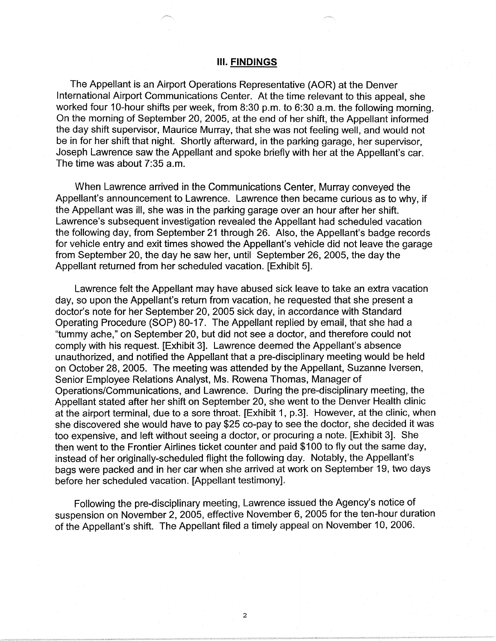### Ill. **FINDINGS**

The Appellant is an Airport Operations Representative (AOR) at the Denver International Airport Communications Center. At the time relevant to this appeal, she worked four 10-hour shifts per week, from 8:30 p.m. to 6:30 a.m. the following morning. On the morning of September 20, 2005, at the end of her shift, the Appellant informed the day shift supervisor, Maurice Murray, that she was not feeling well, and would not be in for her shift that night. Shortly afterward, in the parking garage, her supervisor, Joseph Lawrence saw the Appellant and spoke briefly with her at the Appellant's car. The time was about 7:35 a.m.

When Lawrence arrived in the Communications Center, Murray conveyed the Appellant's announcement to Lawrence. Lawrence then became curious as to why, if the Appellant was ill, she was in the parking garage over an hour after her shift. Lawrence's subsequent investigation revealed the Appellant had scheduled vacation the following day, from September 21 through 26. Also, the Appellant's badge records for vehicle entry and exit times showed the Appellant's vehicle did not leave the garage from September 20, the day he saw her, until September 26, 2005, the day the Appellant returned from her scheduled vacation. [Exhibit 5].

Lawrence felt the Appellant may have abused sick leave to take an extra vacation day, so upon the Appellant's return from vacation, he requested that she present a doctor's note for her September 20, 2005 sick day, in accordance with Standard Operating Procedure (SOP) 80-17. The Appellant replied by email, that she had a "tummy ache," on September 20, but did not see a doctor, and therefore could not comply with his request. [Exhibit 3]. Lawrence deemed the Appellant's absence unauthorized, and notified the Appellant that a pre-disciplinary meeting would be held on October 28, 2005. The meeting was attended by the Appellant, Suzanne Iversen, Senior Employee Relations Analyst, Ms. Rowena Thomas, Manager of Operations/Communications, and Lawrence. During the pre-disciplinary meeting, the Appellant stated after her shift on September 20, she went to the Denver Health clinic at the airport terminal, due to a sore throat. [Exhibit 1, p.3]. However, at the clinic, when she discovered she would have to pay \$25 co-pay to see the doctor, she decided it was too expensive, and left without seeing a doctor, or procuring a note. [Exhibit 3]. She then went to the Frontier Airlines ticket counter and paid \$100 to fly out the same day, instead of her originally-scheduled flight the following day. Notably, the Appellant's bags were packed and in her car when she arrived at work on September 19, two days before her scheduled vacation. [Appellant testimony].

Following the pre-disciplinary meeting, Lawrence issued the Agency's notice of suspension on November 2, 2005, effective November 6, 2005 for the ten-hour duration of the Appellant's shift. The Appellant filed a timely appeal on November 10, 2006.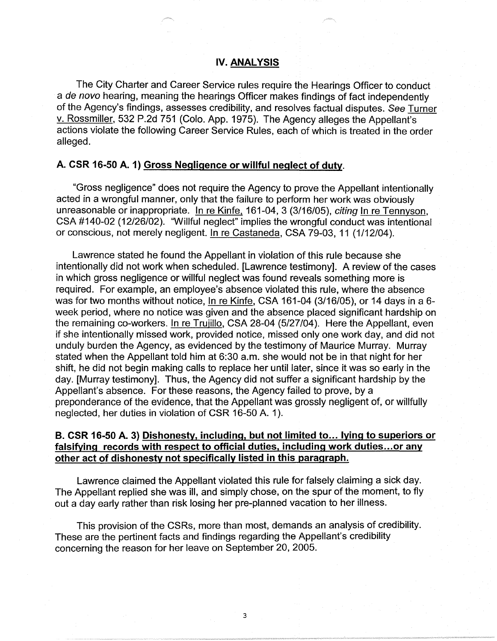### **IV. ANALYSIS**

The City Charter and Career Service rules require the Hearings Officer to conduct a de novo hearing, meaning the hearings Officer makes findings of fact independently of the Agency's findings, assesses credibility, and resolves factual disputes. See Turner v. Rossmiller, 532 P.2d 751 (Colo. App. 1975). The Agency alleges the Appellant's actions violate the following Career Service Rules, each of which is treated in the order alleged.

### **A. CSR 16-50 A. 1) Gross Negligence or willful neglect of duty.**

"Gross negligence" does not require the Agency to prove the Appellant intentionally acted in a wrongful manner, only that the failure to perform her work was obviously unreasonable or inappropriate. In re Kinfe. 161-04, 3 (3/16/05), citing In re Tennyson, CSA #140-02 (12/26/02). "Willful neglect" implies the wrongful conduct was intentional or conscious, not merely negligent. In re Castaneda, CSA 79-03, 11 (1/12/04).

Lawrence stated he found the Appellant in violation of this rule because she intentionally did not work when scheduled. [Lawrence testimony]. A review of the cases in which gross negligence or willful neglect was found reveals something more is required. For example, an employee's absence violated this rule, where the absence was for two months without notice, In re Kinfe, CSA 161-04 (3/16/05), or 14 days in a 6 week period, where no notice was given and the absence placed significant hardship on the remaining co-workers. In re Trujillo, CSA 28-04 (5/27/04). Here the Appellant, even if she intentionally missed work, provided notice, missed only one work day, and did not unduly burden the Agency, as evidenced by the testimony of Maurice Murray. Murray stated when the Appellant told him at 6:30 a.m. she would not be in that night for her shift, he did not begin making calls to replace her until later, since it was so early in the day. [Murray testimony]. Thus, the Agency did not suffer a significant hardship by the Appellant's absence. For these reasons, the Agency failed to prove, by a preponderance of the evidence, that the Appellant was grossly negligent of, or willfully neglected, her duties in violation of CSR 16-50 A. 1 ).

### **B. CSR 16-50 A. 3) Dishonesty, including, but not limited to... lying to superiors or falsifying records with respect to official duties, including work duties ... or any other act of dishonesty not specifically listed in this paragraph.**

Lawrence claimed the Appellant violated this rule for falsely claiming a sick day. The Appellant replied she was ill, and simply chose, on the spur of the moment, to fly out a day early rather than risk losing her pre-planned vacation to her illness.

This provision of the CSRs, more than most, demands an analysis of credibility. These are the pertinent facts and findings regarding the Appellant's credibility concerning the reason for her leave on September 20, 2005.

3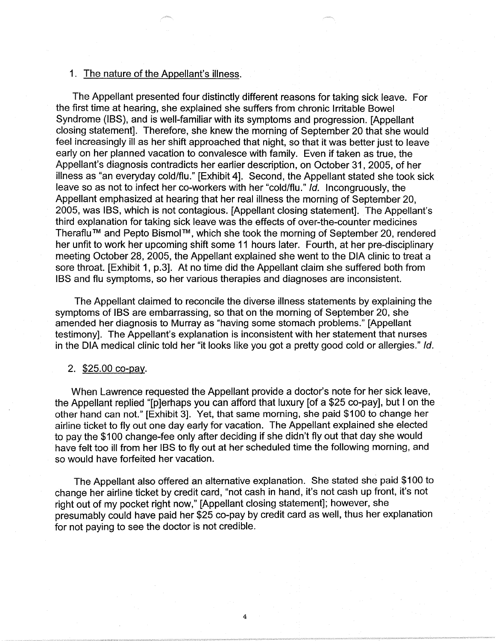### 1. The nature of the Appellant's illness.

The Appellant presented four distinctly different reasons for taking sick leave. For the first time at hearing, she explained she suffers from chronic Irritable Bowel Syndrome (IBS), and is well-familiar with its symptoms and progression. [Appellant closing statement]. Therefore, she knew the morning of September 20 that she would feel increasingly ill as her shift approached that night, so that it was better just to leave early on her planned vacation to convalesce with family. Even if taken as true, the Appellant's diagnosis contradicts her earlier description, on October 31, 2005, of her illness as "an everyday cold/flu." [Exhibit 4]. Second, the Appellant stated she took sick leave so as not to infect her co-workers with her "cold/flu." Id. Incongruously, the Appellant emphasized at hearing that her real illness the morning of September 20, 2005, was IBS, which is not contagious. [Appellant closing statement]. The Appellant's third explanation for taking sick leave was the effects of over-the-counter medicines Theraflu™ and Pepto Bismol™, which she took the morning of September 20, rendered her unfit to work her upcoming shift some 11 hours later. Fourth, at her pre-disciplinary meeting October 28, 2005, the Appellant explained she went to the DIA clinic to treat a sore throat. [Exhibit 1, p.3]. At no time did the Appellant claim she suffered both from IBS and flu symptoms, so her various therapies and diagnoses are inconsistent.

The Appellant claimed to reconcile the diverse illness statements by explaining the symptoms of IBS are embarrassing, so that on the morning of September 20, she amended her diagnosis to Murray as "having some stomach problems." [Appellant testimony]. The Appellant's explanation is inconsistent with her statement that nurses in the DIA medical clinic told her "it looks like you got a pretty good cold or allergies." Id.

#### 2. \$25.00 co-pay.

When Lawrence requested the Appellant provide a doctor's note for her sick leave, the Appellant replied "[p]erhaps you can afford that luxury [of a \$25 co-pay], but I on the other hand can not." [Exhibit 3]. Yet, that same morning, she paid \$100 to change her airline ticket to fly out one day early for vacation. The Appellant explained she elected to pay the \$100 change-fee only after deciding if she didn't fly out that day she would have felt too ill from her IBS to fly out at her scheduled time the following morning, and so would have forfeited her vacation.

The Appellant also offered an alternative explanation. She stated she paid \$100 to change her airline ticket by credit card, "not cash in hand, it's not cash up front, it's not right out of my pocket right now," [Appellant closing statement]; however, she presumably could have paid her \$25 co-pay by credit card as well, thus her explanation for not paying to see the doctor is not credible.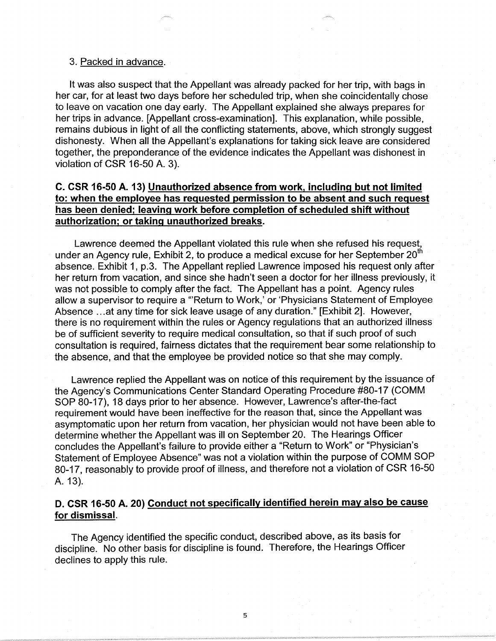#### 3. Packed in advance.

It was also suspect that the Appellant was already packed for her trip, with bags in her car, for at least two days before her scheduled trip, when she coincidentally chose to leave on vacation one day early. The Appellant explained she always prepares for her trips in advance. [Appellant cross-examination]. This explanation, while possible, remains dubious in light of all the conflicting statements, above, which strongly suggest dishonesty. When all the Appellant's explanations for taking sick leave are considered together, the preponderance of the evidence indicates the Appellant was dishonest in violation of CSR 16-50 A. 3).

# **C. CSR 16-50 A. 13) Unauthorized absence from work, including but not limited to: when the employee has requested permission to be absent and such request has been denied; leaving work before completion of scheduled shift without authorization; or taking unauthorized breaks.**

Lawrence deemed the Appellant violated this rule when she refused his request, under an Agency rule, Exhibit 2, to produce a medical excuse for her September  $20<sup>th</sup>$ absence. Exhibit 1, p.3. The Appellant replied Lawrence imposed his request only after her return from vacation, and since she hadn't seen a doctor for her illness previously, it was not possible to comply after the fact. The Appellant has a point. Agency rules allow a supervisor to require a "'Return to Work,' or 'Physicians Statement of Employee Absence ... at any time for sick leave usage of any duration." [Exhibit 2]. However, there is no requirement within the rules or Agency regulations that an authorized illness be of sufficient severity to require medical consultation, so that if such proof of such consultation is required, fairness dictates that the requirement bear some relationship to the absence, and that the employee be provided notice so that she may comply.

Lawrence replied the Appellant was on notice of this requirement by the issuance of the Agency's Communications Center Standard Operating Procedure #80-17 (COMM SOP 80-17), 18 days prior to her absence. However, Lawrence's after-the-fact requirement would have been ineffective for the reason that, since the Appellant was asymptomatic upon her return from vacation, her physician would not have been able to determine whether the Appellant was ill on September 20. The Hearings Officer concludes the Appellant's failure to provide either a "Return to Work" or "Physician's Statement of Employee Absence" was not a violation within the purpose of COMM SOP 80-17, reasonably to provide proof of illness, and therefore not a violation of CSR 16-50 A. 13).

# **D. CSR 16-50 A. 20) Conduct not specifically identified herein may also be cause for dismissal.**

The Agency identified the specific conduct, described above, as its basis for discipline. No other basis for discipline is found. Therefore, the Hearings Officer declines to apply this rule.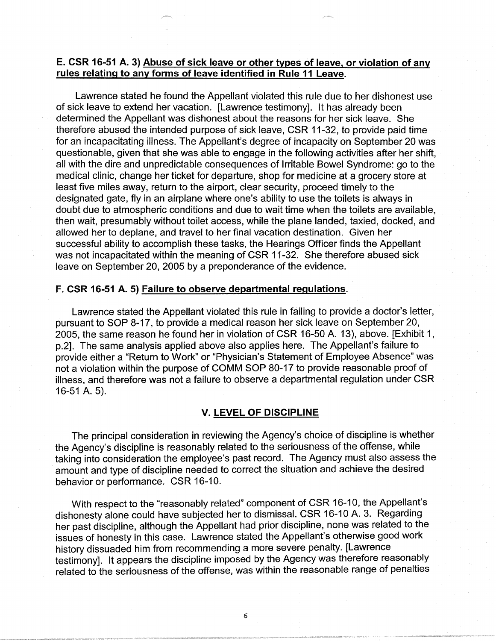# **E. CSR 16-51 A. 3) Abuse of sick leave or other types of leave, or violation of any rules relating to any forms of leave identified in Rule 11 Leave.**

Lawrence stated he found the Appellant violated this rule due to her dishonest use of sick leave to extend her vacation. [Lawrence testimony]. It has already been determined the Appellant was dishonest about the reasons for her sick leave. She therefore abused the intended purpose of sick leave, CSR 11-32, to provide paid time for an incapacitating illness. The Appellant's degree of incapacity on September 20 was questionable, given that she was able to engage in the following activities after her shift, all with the dire and unpredictable consequences of Irritable Bowel Syndrome: go to the medical clinic, change her ticket for departure, shop for medicine at a grocery store at least five miles away, return to the airport, clear security, proceed timely to the designated gate, fly in an airplane where one's ability to use the toilets is always in doubt due to atmospheric conditions and due to wait time when the toilets are available, then wait, presumably without toilet access, while the plane landed, taxied, docked, and allowed her to deplane, and travel to her final vacation destination. Given her successful ability to accomplish these tasks, the Hearings Officer finds the Appellant was not incapacitated within the meaning of CSR 11-32. She therefore abused sick leave on September 20, 2005 by a preponderance of the evidence.

# **F. CSR 16-51 A. 5) Failure to observe departmental regulations.**

Lawrence stated the Appellant violated this rule in failing to provide a doctor's letter, pursuant to SOP 8-17, to provide a medical reason her sick leave on September 20, 2005, the same reason he found her in violation of CSR 16-50 A. 13), above. [Exhibit 1, p.2]. The same analysis applied above also applies here. The Appellant's failure to provide either a "Return to Work" or "Physician's Statement of Employee Absence" was not a violation within the purpose of COMM SOP 80-17 to provide reasonable proof of illness, and therefore was not a failure to observe a departmental regulation under CSR 16-51 A. 5).

### **V. LEVEL OF DISCIPLINE**

The principal consideration in reviewing the Agency's choice of discipline is whether the Agency's discipline is reasonably related to the seriousness of the offense, while taking into consideration the employee's past record. The Agency must also assess the amount and type of discipline needed to correct the situation and achieve the desired behavior or performance. CSR 16-10.

With respect to the "reasonably related" component of CSR 16-10, the Appellant's dishonesty alone could have subjected her to dismissal. CSR 16-10 A. 3. Regarding her past discipline, although the Appellant had prior discipline, none was related to the issues of honesty in this case. Lawrence stated the Appellant's otherwise good work history dissuaded him from recommending a more severe penalty. [Lawrence testimony]. It appears the discipline imposed by the Agency was therefore reasonably related to the seriousness of the offense, was within the reasonable range of penalties

6